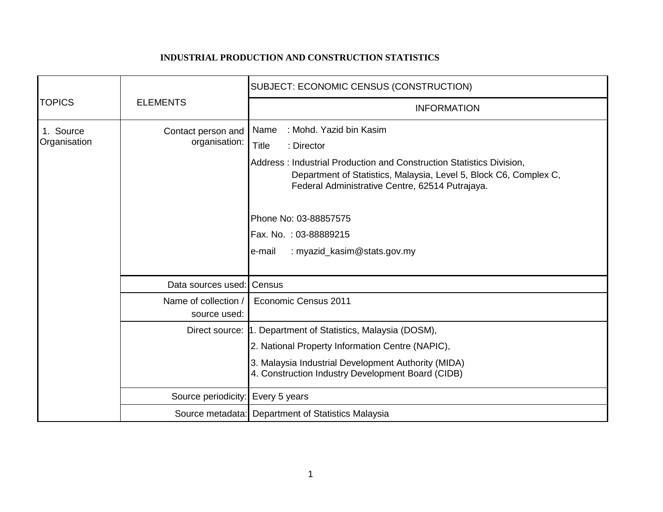## **INDUSTRIAL PRODUCTION AND CONSTRUCTION STATISTICS**

|                           |                                      | SUBJECT: ECONOMIC CENSUS (CONSTRUCTION)                                                                                                                                                                                                                       |
|---------------------------|--------------------------------------|---------------------------------------------------------------------------------------------------------------------------------------------------------------------------------------------------------------------------------------------------------------|
| <b>TOPICS</b>             | <b>ELEMENTS</b>                      | <b>INFORMATION</b>                                                                                                                                                                                                                                            |
| 1. Source<br>Organisation | Contact person and<br>organisation:  | : Mohd. Yazid bin Kasim<br>Name<br><b>Title</b><br>: Director<br>Address: Industrial Production and Construction Statistics Division,<br>Department of Statistics, Malaysia, Level 5, Block C6, Complex C,<br>Federal Administrative Centre, 62514 Putrajaya. |
|                           |                                      | Phone No: 03-88857575<br>Fax. No.: 03-88889215<br>: myazid_kasim@stats.gov.my<br>e-mail                                                                                                                                                                       |
|                           | Data sources used: Census            |                                                                                                                                                                                                                                                               |
|                           | Name of collection /<br>source used: | Economic Census 2011                                                                                                                                                                                                                                          |
|                           | Direct source:                       | 1. Department of Statistics, Malaysia (DOSM),<br>2. National Property Information Centre (NAPIC),<br>3. Malaysia Industrial Development Authority (MIDA)<br>4. Construction Industry Development Board (CIDB)                                                 |
|                           | Source periodicity: Every 5 years    |                                                                                                                                                                                                                                                               |
|                           |                                      | Source metadata: Department of Statistics Malaysia                                                                                                                                                                                                            |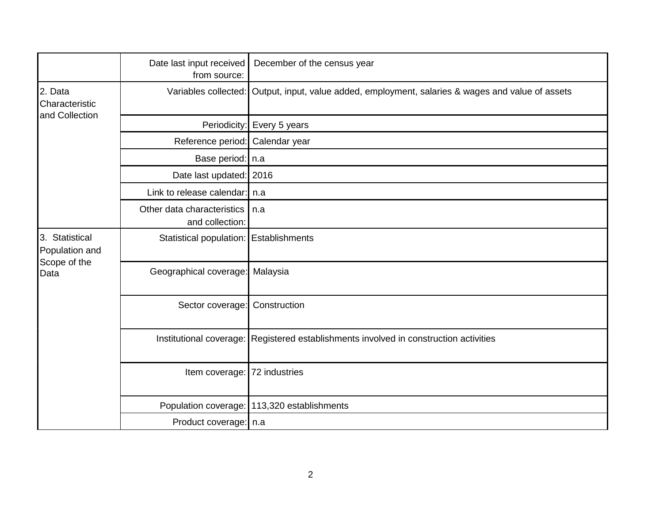|                                                          | Date last input received<br>from source:      | December of the census year                                                                       |
|----------------------------------------------------------|-----------------------------------------------|---------------------------------------------------------------------------------------------------|
| 2. Data<br>Characteristic<br>and Collection              |                                               | Variables collected: Output, input, value added, employment, salaries & wages and value of assets |
|                                                          |                                               | Periodicity: Every 5 years                                                                        |
|                                                          | Reference period: Calendar year               |                                                                                                   |
|                                                          | Base period:   n.a                            |                                                                                                   |
|                                                          | Date last updated: 2016                       |                                                                                                   |
|                                                          | Link to release calendar: n.a                 |                                                                                                   |
|                                                          | Other data characteristics<br>and collection: | n.a                                                                                               |
| 3. Statistical<br>Population and<br>Scope of the<br>Data | Statistical population: Establishments        |                                                                                                   |
|                                                          | Geographical coverage: Malaysia               |                                                                                                   |
|                                                          | Sector coverage: Construction                 |                                                                                                   |
|                                                          |                                               | Institutional coverage: Registered establishments involved in construction activities             |
|                                                          | Item coverage: 72 industries                  |                                                                                                   |
|                                                          |                                               | Population coverage: 113,320 establishments                                                       |
|                                                          | Product coverage:   n.a                       |                                                                                                   |
|                                                          |                                               |                                                                                                   |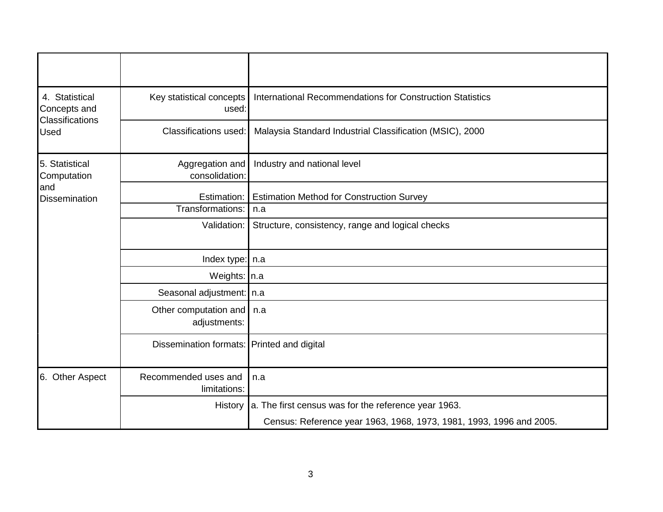| 4. Statistical<br>Concepts and<br>Classifications<br><b>Used</b> | Key statistical concepts<br>used:          | <b>International Recommendations for Construction Statistics</b>    |
|------------------------------------------------------------------|--------------------------------------------|---------------------------------------------------------------------|
|                                                                  | Classifications used:                      | Malaysia Standard Industrial Classification (MSIC), 2000            |
| 5. Statistical<br>Computation                                    | Aggregation and<br>consolidation:          | Industry and national level                                         |
| and<br><b>Dissemination</b>                                      |                                            | Estimation:   Estimation Method for Construction Survey             |
|                                                                  | Transformations:                           | n.a                                                                 |
|                                                                  | Validation:                                | Structure, consistency, range and logical checks                    |
|                                                                  | Index type: $n.a$                          |                                                                     |
|                                                                  | Weights: In.a                              |                                                                     |
|                                                                  | Seasonal adjustment:   n.a                 |                                                                     |
|                                                                  | Other computation and<br>adjustments:      | n.a                                                                 |
|                                                                  | Dissemination formats: Printed and digital |                                                                     |
| 6. Other Aspect                                                  | Recommended uses and<br>limitations:       | n.a                                                                 |
|                                                                  | History                                    | a. The first census was for the reference year 1963.                |
|                                                                  |                                            | Census: Reference year 1963, 1968, 1973, 1981, 1993, 1996 and 2005. |